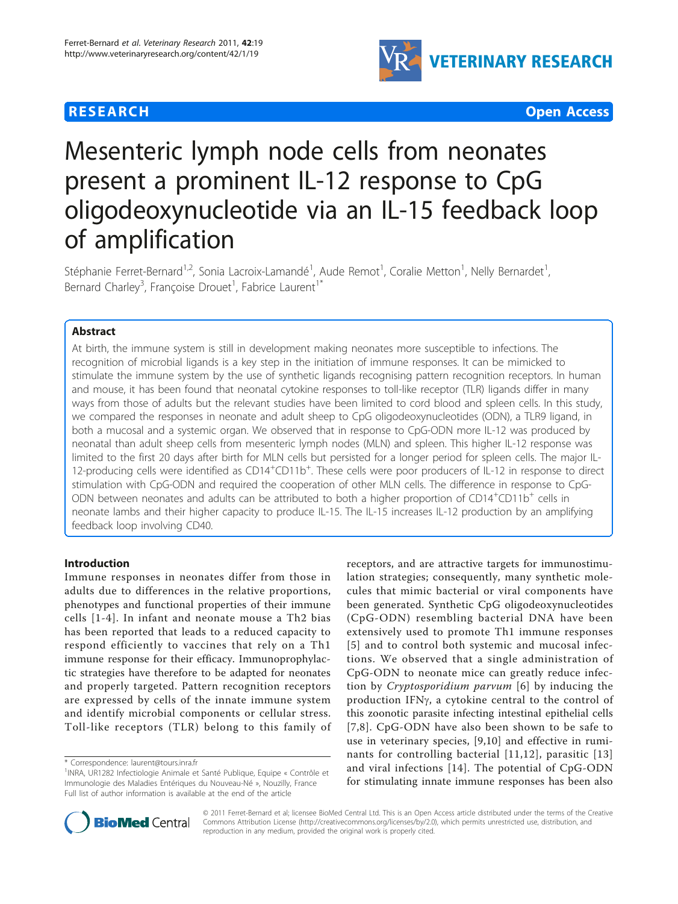## **RESEARCH CONSTRUCTION CONSTRUCTION CONSTRUCTS**



# Mesenteric lymph node cells from neonates present a prominent IL-12 response to CpG oligodeoxynucleotide via an IL-15 feedback loop of amplification

Stéphanie Ferret-Bernard<sup>1,2</sup>, Sonia Lacroix-Lamandé<sup>1</sup>, Aude Remot<sup>1</sup>, Coralie Metton<sup>1</sup>, Nelly Bernardet<sup>1</sup> , Bernard Charley<sup>3</sup>, Françoise Drouet<sup>1</sup>, Fabrice Laurent<sup>1\*</sup>

## Abstract

At birth, the immune system is still in development making neonates more susceptible to infections. The recognition of microbial ligands is a key step in the initiation of immune responses. It can be mimicked to stimulate the immune system by the use of synthetic ligands recognising pattern recognition receptors. In human and mouse, it has been found that neonatal cytokine responses to toll-like receptor (TLR) ligands differ in many ways from those of adults but the relevant studies have been limited to cord blood and spleen cells. In this study, we compared the responses in neonate and adult sheep to CpG oligodeoxynucleotides (ODN), a TLR9 ligand, in both a mucosal and a systemic organ. We observed that in response to CpG-ODN more IL-12 was produced by neonatal than adult sheep cells from mesenteric lymph nodes (MLN) and spleen. This higher IL-12 response was limited to the first 20 days after birth for MLN cells but persisted for a longer period for spleen cells. The major IL-12-producing cells were identified as CD14<sup>+</sup>CD11b<sup>+</sup>. These cells were poor producers of IL-12 in response to direct stimulation with CpG-ODN and required the cooperation of other MLN cells. The difference in response to CpG-ODN between neonates and adults can be attributed to both a higher proportion of CD14<sup>+</sup>CD11b<sup>+</sup> cells in neonate lambs and their higher capacity to produce IL-15. The IL-15 increases IL-12 production by an amplifying feedback loop involving CD40.

#### Introduction

Immune responses in neonates differ from those in adults due to differences in the relative proportions, phenotypes and functional properties of their immune cells [[1](#page-10-0)-[4](#page-10-0)]. In infant and neonate mouse a Th2 bias has been reported that leads to a reduced capacity to respond efficiently to vaccines that rely on a Th1 immune response for their efficacy. Immunoprophylactic strategies have therefore to be adapted for neonates and properly targeted. Pattern recognition receptors are expressed by cells of the innate immune system and identify microbial components or cellular stress. Toll-like receptors (TLR) belong to this family of

receptors, and are attractive targets for immunostimulation strategies; consequently, many synthetic molecules that mimic bacterial or viral components have been generated. Synthetic CpG oligodeoxynucleotides (CpG-ODN) resembling bacterial DNA have been extensively used to promote Th1 immune responses [[5\]](#page-10-0) and to control both systemic and mucosal infections. We observed that a single administration of CpG-ODN to neonate mice can greatly reduce infection by Cryptosporidium parvum [[6](#page-10-0)] by inducing the production IFN<sub>y</sub>, a cytokine central to the control of this zoonotic parasite infecting intestinal epithelial cells [[7,8](#page-10-0)]. CpG-ODN have also been shown to be safe to use in veterinary species, [[9,10](#page-10-0)] and effective in ruminants for controlling bacterial [[11](#page-10-0),[12](#page-10-0)], parasitic [[13](#page-10-0)] and viral infections [[14](#page-10-0)]. The potential of CpG-ODN for stimulating innate immune responses has been also



© 2011 Ferret-Bernard et al; licensee BioMed Central Ltd. This is an Open Access article distributed under the terms of the Creative Commons Attribution License [\(http://creativecommons.org/licenses/by/2.0](http://creativecommons.org/licenses/by/2.0)), which permits unrestricted use, distribution, and reproduction in any medium, provided the original work is properly cited.

<sup>\*</sup> Correspondence: [laurent@tours.inra.fr](mailto:laurent@tours.inra.fr)

<sup>&</sup>lt;sup>1</sup>INRA, UR1282 Infectiologie Animale et Santé Publique, Equipe « Contrôle et Immunologie des Maladies Entériques du Nouveau-Né », Nouzilly, France Full list of author information is available at the end of the article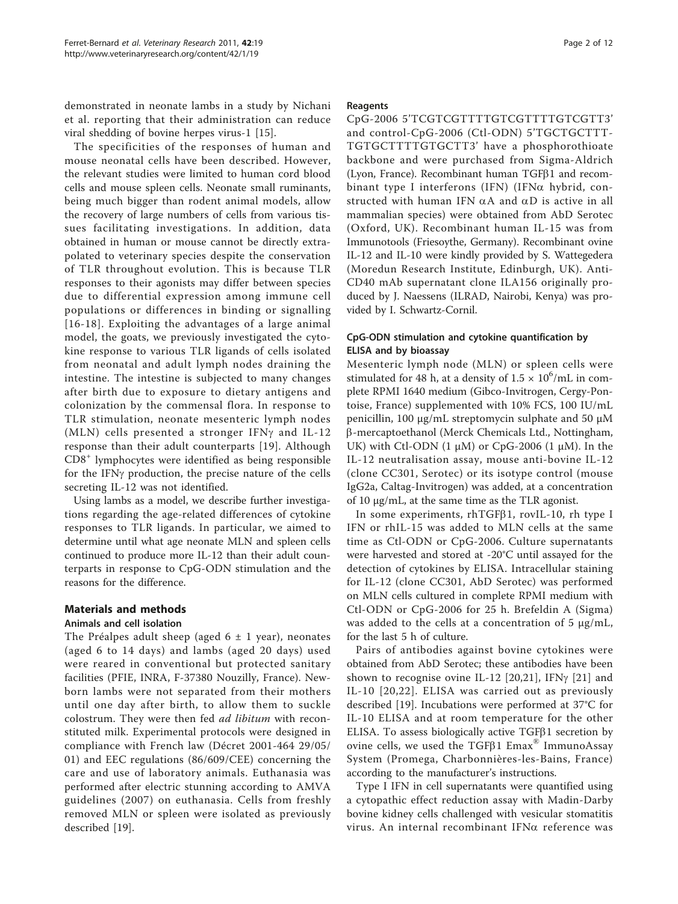demonstrated in neonate lambs in a study by Nichani et al. reporting that their administration can reduce viral shedding of bovine herpes virus-1 [\[15](#page-10-0)].

The specificities of the responses of human and mouse neonatal cells have been described. However, the relevant studies were limited to human cord blood cells and mouse spleen cells. Neonate small ruminants, being much bigger than rodent animal models, allow the recovery of large numbers of cells from various tissues facilitating investigations. In addition, data obtained in human or mouse cannot be directly extrapolated to veterinary species despite the conservation of TLR throughout evolution. This is because TLR responses to their agonists may differ between species due to differential expression among immune cell populations or differences in binding or signalling [[16-18](#page-10-0)]. Exploiting the advantages of a large animal model, the goats, we previously investigated the cytokine response to various TLR ligands of cells isolated from neonatal and adult lymph nodes draining the intestine. The intestine is subjected to many changes after birth due to exposure to dietary antigens and colonization by the commensal flora. In response to TLR stimulation, neonate mesenteric lymph nodes (MLN) cells presented a stronger IFN $\gamma$  and IL-12 response than their adult counterparts [[19](#page-10-0)]. Although CD8<sup>+</sup> lymphocytes were identified as being responsible for the IFNg production, the precise nature of the cells secreting IL-12 was not identified.

Using lambs as a model, we describe further investigations regarding the age-related differences of cytokine responses to TLR ligands. In particular, we aimed to determine until what age neonate MLN and spleen cells continued to produce more IL-12 than their adult counterparts in response to CpG-ODN stimulation and the reasons for the difference.

#### Materials and methods

#### Animals and cell isolation

The Préalpes adult sheep (aged  $6 \pm 1$  year), neonates (aged 6 to 14 days) and lambs (aged 20 days) used were reared in conventional but protected sanitary facilities (PFIE, INRA, F-37380 Nouzilly, France). Newborn lambs were not separated from their mothers until one day after birth, to allow them to suckle colostrum. They were then fed *ad libitum* with reconstituted milk. Experimental protocols were designed in compliance with French law (Décret 2001-464 29/05/ 01) and EEC regulations (86/609/CEE) concerning the care and use of laboratory animals. Euthanasia was performed after electric stunning according to AMVA guidelines (2007) on euthanasia. Cells from freshly removed MLN or spleen were isolated as previously described [[19\]](#page-10-0).

#### Reagents

CpG-2006 5'TCGTCGTTTTGTCGTTTTGTCGTT3' and control-CpG-2006 (Ctl-ODN) 5'TGCTGCTTT-TGTGCTTTTGTGCTT3' have a phosphorothioate backbone and were purchased from Sigma-Aldrich (Lyon, France). Recombinant human  $TGF\beta1$  and recombinant type I interferons (IFN) (IFN $\alpha$  hybrid, constructed with human IFN  $\alpha$ A and  $\alpha$ D is active in all mammalian species) were obtained from AbD Serotec (Oxford, UK). Recombinant human IL-15 was from Immunotools (Friesoythe, Germany). Recombinant ovine IL-12 and IL-10 were kindly provided by S. Wattegedera (Moredun Research Institute, Edinburgh, UK). Anti-CD40 mAb supernatant clone ILA156 originally produced by J. Naessens (ILRAD, Nairobi, Kenya) was provided by I. Schwartz-Cornil.

#### CpG-ODN stimulation and cytokine quantification by ELISA and by bioassay

Mesenteric lymph node (MLN) or spleen cells were stimulated for 48 h, at a density of  $1.5 \times 10^6$ /mL in complete RPMI 1640 medium (Gibco-Invitrogen, Cergy-Pontoise, France) supplemented with 10% FCS, 100 IU/mL penicillin, 100 μg/mL streptomycin sulphate and 50 μM b-mercaptoethanol (Merck Chemicals Ltd., Nottingham, UK) with Ctl-ODN  $(1 \mu M)$  or CpG-2006  $(1 \mu M)$ . In the IL-12 neutralisation assay, mouse anti-bovine IL-12 (clone CC301, Serotec) or its isotype control (mouse IgG2a, Caltag-Invitrogen) was added, at a concentration of 10 μg/mL, at the same time as the TLR agonist.

In some experiments,  $r h T G F \beta 1$ , rovIL-10, rh type I IFN or rhIL-15 was added to MLN cells at the same time as Ctl-ODN or CpG-2006. Culture supernatants were harvested and stored at -20°C until assayed for the detection of cytokines by ELISA. Intracellular staining for IL-12 (clone CC301, AbD Serotec) was performed on MLN cells cultured in complete RPMI medium with Ctl-ODN or CpG-2006 for 25 h. Brefeldin A (Sigma) was added to the cells at a concentration of 5  $\mu$ g/mL, for the last 5 h of culture.

Pairs of antibodies against bovine cytokines were obtained from AbD Serotec; these antibodies have been shown to recognise ovine IL-12 [[20](#page-10-0),[21\]](#page-10-0), IFN $\gamma$  [\[21](#page-10-0)] and IL-10 [[20,22](#page-10-0)]. ELISA was carried out as previously described [[19](#page-10-0)]. Incubations were performed at 37°C for IL-10 ELISA and at room temperature for the other ELISA. To assess biologically active  $TGF\beta1$  secretion by ovine cells, we used the TGF $\beta$ 1 Emax<sup>®</sup> ImmunoAssay System (Promega, Charbonnières-les-Bains, France) according to the manufacturer's instructions.

Type I IFN in cell supernatants were quantified using a cytopathic effect reduction assay with Madin-Darby bovine kidney cells challenged with vesicular stomatitis virus. An internal recombinant IFN $\alpha$  reference was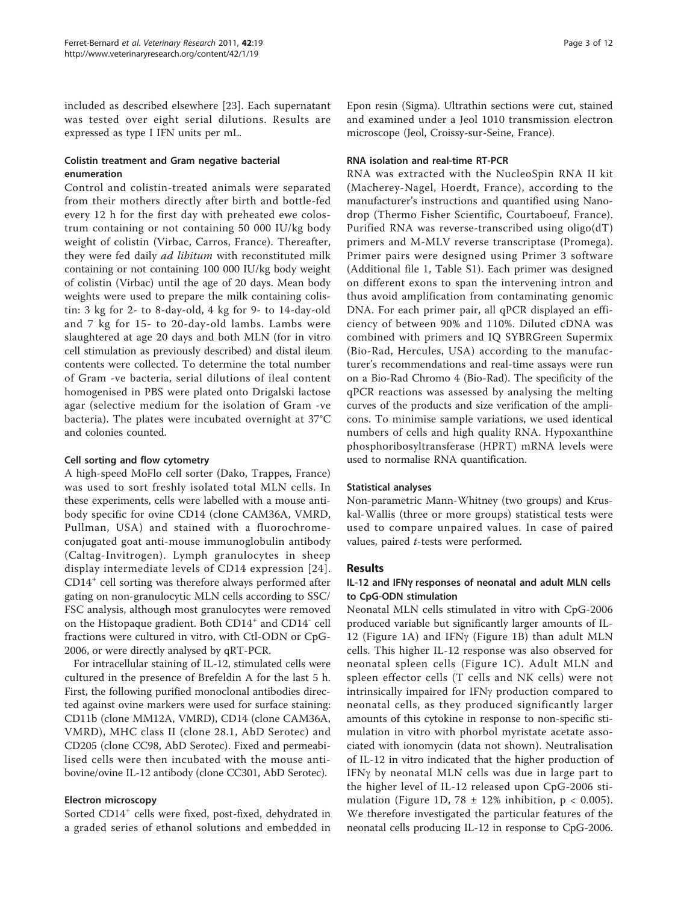included as described elsewhere [[23\]](#page-10-0). Each supernatant was tested over eight serial dilutions. Results are expressed as type I IFN units per mL.

#### Colistin treatment and Gram negative bacterial enumeration

Control and colistin-treated animals were separated from their mothers directly after birth and bottle-fed every 12 h for the first day with preheated ewe colostrum containing or not containing 50 000 IU/kg body weight of colistin (Virbac, Carros, France). Thereafter, they were fed daily *ad libitum* with reconstituted milk containing or not containing 100 000 IU/kg body weight of colistin (Virbac) until the age of 20 days. Mean body weights were used to prepare the milk containing colistin: 3 kg for 2- to 8-day-old, 4 kg for 9- to 14-day-old and 7 kg for 15- to 20-day-old lambs. Lambs were slaughtered at age 20 days and both MLN (for in vitro cell stimulation as previously described) and distal ileum contents were collected. To determine the total number of Gram -ve bacteria, serial dilutions of ileal content homogenised in PBS were plated onto Drigalski lactose agar (selective medium for the isolation of Gram -ve bacteria). The plates were incubated overnight at 37°C and colonies counted.

#### Cell sorting and flow cytometry

A high-speed MoFlo cell sorter (Dako, Trappes, France) was used to sort freshly isolated total MLN cells. In these experiments, cells were labelled with a mouse antibody specific for ovine CD14 (clone CAM36A, VMRD, Pullman, USA) and stained with a fluorochromeconjugated goat anti-mouse immunoglobulin antibody (Caltag-Invitrogen). Lymph granulocytes in sheep display intermediate levels of CD14 expression [[24\]](#page-10-0). CD14<sup>+</sup> cell sorting was therefore always performed after gating on non-granulocytic MLN cells according to SSC/ FSC analysis, although most granulocytes were removed on the Histopaque gradient. Both CD14<sup>+</sup> and CD14<sup>-</sup> cell fractions were cultured in vitro, with Ctl-ODN or CpG-2006, or were directly analysed by qRT-PCR.

For intracellular staining of IL-12, stimulated cells were cultured in the presence of Brefeldin A for the last 5 h. First, the following purified monoclonal antibodies directed against ovine markers were used for surface staining: CD11b (clone MM12A, VMRD), CD14 (clone CAM36A, VMRD), MHC class II (clone 28.1, AbD Serotec) and CD205 (clone CC98, AbD Serotec). Fixed and permeabilised cells were then incubated with the mouse antibovine/ovine IL-12 antibody (clone CC301, AbD Serotec).

## Electron microscopy

Sorted CD14<sup>+</sup> cells were fixed, post-fixed, dehydrated in a graded series of ethanol solutions and embedded in Epon resin (Sigma). Ultrathin sections were cut, stained and examined under a Jeol 1010 transmission electron microscope (Jeol, Croissy-sur-Seine, France).

#### RNA isolation and real-time RT-PCR

RNA was extracted with the NucleoSpin RNA II kit (Macherey-Nagel, Hoerdt, France), according to the manufacturer's instructions and quantified using Nanodrop (Thermo Fisher Scientific, Courtaboeuf, France). Purified RNA was reverse-transcribed using oligo(dT) primers and M-MLV reverse transcriptase (Promega). Primer pairs were designed using Primer 3 software (Additional file [1,](#page-9-0) Table S1). Each primer was designed on different exons to span the intervening intron and thus avoid amplification from contaminating genomic DNA. For each primer pair, all qPCR displayed an efficiency of between 90% and 110%. Diluted cDNA was combined with primers and IQ SYBRGreen Supermix (Bio-Rad, Hercules, USA) according to the manufacturer's recommendations and real-time assays were run on a Bio-Rad Chromo 4 (Bio-Rad). The specificity of the qPCR reactions was assessed by analysing the melting curves of the products and size verification of the amplicons. To minimise sample variations, we used identical numbers of cells and high quality RNA. Hypoxanthine phosphoribosyltransferase (HPRT) mRNA levels were used to normalise RNA quantification.

## Statistical analyses

Non-parametric Mann-Whitney (two groups) and Kruskal-Wallis (three or more groups) statistical tests were used to compare unpaired values. In case of paired values, paired t-tests were performed.

## Results

#### IL-12 and IFNg responses of neonatal and adult MLN cells to CpG-ODN stimulation

Neonatal MLN cells stimulated in vitro with CpG-2006 produced variable but significantly larger amounts of IL-12 (Figure [1A](#page-3-0)) and IFN $\gamma$  (Figure [1B](#page-3-0)) than adult MLN cells. This higher IL-12 response was also observed for neonatal spleen cells (Figure [1C](#page-3-0)). Adult MLN and spleen effector cells (T cells and NK cells) were not intrinsically impaired for IFNg production compared to neonatal cells, as they produced significantly larger amounts of this cytokine in response to non-specific stimulation in vitro with phorbol myristate acetate associated with ionomycin (data not shown). Neutralisation of IL-12 in vitro indicated that the higher production of IFN $\gamma$  by neonatal MLN cells was due in large part to the higher level of IL-12 released upon CpG-2006 sti-mulation (Figure [1D,](#page-3-0) 78  $\pm$  12% inhibition, p < 0.005). We therefore investigated the particular features of the neonatal cells producing IL-12 in response to CpG-2006.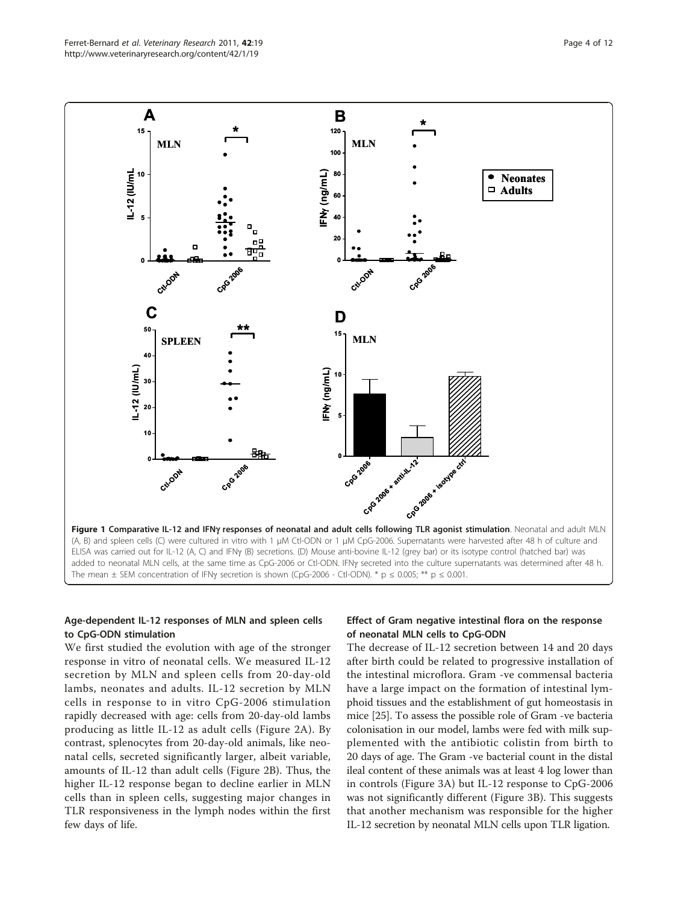<span id="page-3-0"></span>

#### Age-dependent IL-12 responses of MLN and spleen cells to CpG-ODN stimulation

We first studied the evolution with age of the stronger response in vitro of neonatal cells. We measured IL-12 secretion by MLN and spleen cells from 20-day-old lambs, neonates and adults. IL-12 secretion by MLN cells in response to in vitro CpG-2006 stimulation rapidly decreased with age: cells from 20-day-old lambs producing as little IL-12 as adult cells (Figure [2A\)](#page-4-0). By contrast, splenocytes from 20-day-old animals, like neonatal cells, secreted significantly larger, albeit variable, amounts of IL-12 than adult cells (Figure [2B](#page-4-0)). Thus, the higher IL-12 response began to decline earlier in MLN cells than in spleen cells, suggesting major changes in TLR responsiveness in the lymph nodes within the first few days of life.

#### Effect of Gram negative intestinal flora on the response of neonatal MLN cells to CpG-ODN

The decrease of IL-12 secretion between 14 and 20 days after birth could be related to progressive installation of the intestinal microflora. Gram -ve commensal bacteria have a large impact on the formation of intestinal lymphoid tissues and the establishment of gut homeostasis in mice [[25](#page-10-0)]. To assess the possible role of Gram -ve bacteria colonisation in our model, lambs were fed with milk supplemented with the antibiotic colistin from birth to 20 days of age. The Gram -ve bacterial count in the distal ileal content of these animals was at least 4 log lower than in controls (Figure [3A\)](#page-4-0) but IL-12 response to CpG-2006 was not significantly different (Figure [3B](#page-4-0)). This suggests that another mechanism was responsible for the higher IL-12 secretion by neonatal MLN cells upon TLR ligation.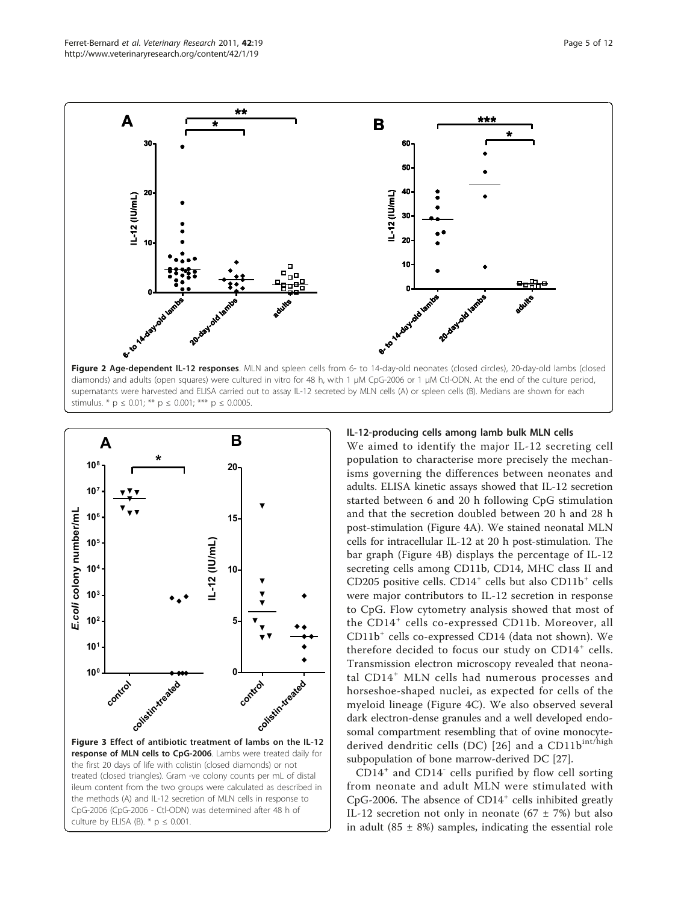<span id="page-4-0"></span>

stimulus. \*  $p \le 0.01$ ; \*\*  $p \le 0.001$ ; \*\*\*  $p \le 0.0005$ .



ileum content from the two groups were calculated as described in the methods (A) and IL-12 secretion of MLN cells in response to CpG-2006 (CpG-2006 - Ctl-ODN) was determined after 48 h of culture by ELISA (B).  $*$  p  $\leq$  0.001.

#### IL-12-producing cells among lamb bulk MLN cells

We aimed to identify the major IL-12 secreting cell population to characterise more precisely the mechanisms governing the differences between neonates and adults. ELISA kinetic assays showed that IL-12 secretion started between 6 and 20 h following CpG stimulation and that the secretion doubled between 20 h and 28 h post-stimulation (Figure [4A\)](#page-5-0). We stained neonatal MLN cells for intracellular IL-12 at 20 h post-stimulation. The bar graph (Figure [4B](#page-5-0)) displays the percentage of IL-12 secreting cells among CD11b, CD14, MHC class II and CD205 positive cells.  $CD14<sup>+</sup>$  cells but also  $CD11b<sup>+</sup>$  cells were major contributors to IL-12 secretion in response to CpG. Flow cytometry analysis showed that most of the CD14<sup>+</sup> cells co-expressed CD11b. Moreover, all CD11b<sup>+</sup> cells co-expressed CD14 (data not shown). We therefore decided to focus our study on  $CD14<sup>+</sup>$  cells. Transmission electron microscopy revealed that neonatal CD14<sup>+</sup> MLN cells had numerous processes and horseshoe-shaped nuclei, as expected for cells of the myeloid lineage (Figure [4C\)](#page-5-0). We also observed several dark electron-dense granules and a well developed endosomal compartment resembling that of ovine monocyte-derived dendritic cells (DC) [[26](#page-10-0)] and a CD11b<sup>int/high</sup> subpopulation of bone marrow-derived DC [[27\]](#page-10-0).

 $CD14<sup>+</sup>$  and  $CD14<sup>-</sup>$  cells purified by flow cell sorting from neonate and adult MLN were stimulated with CpG-2006. The absence of  $CD14<sup>+</sup>$  cells inhibited greatly IL-12 secretion not only in neonate (67  $\pm$  7%) but also in adult (85  $\pm$  8%) samples, indicating the essential role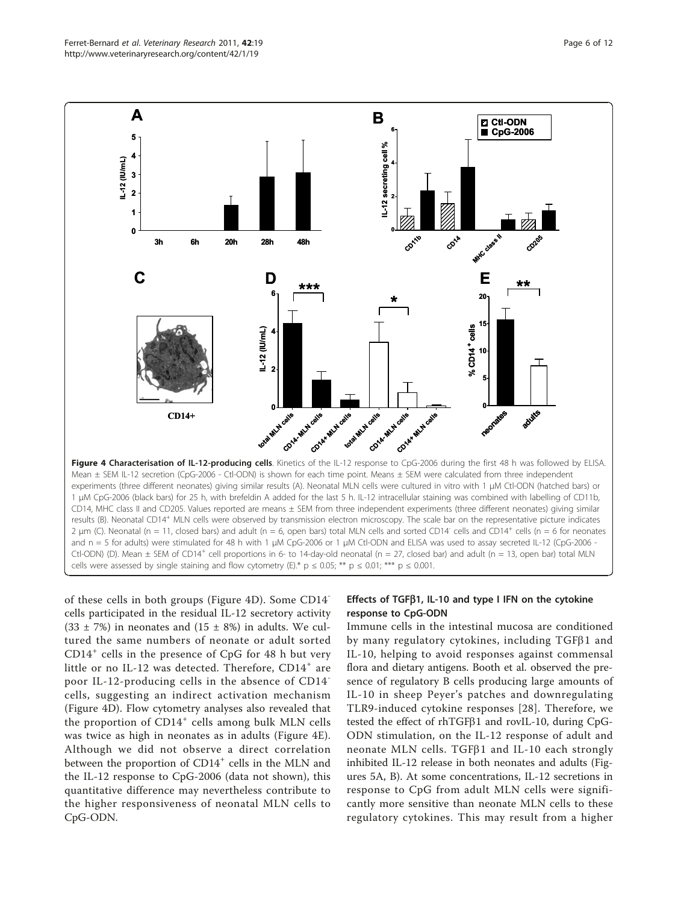<span id="page-5-0"></span>

of these cells in both groups (Figure 4D). Some CD14 cells participated in the residual IL-12 secretory activity  $(33 \pm 7\%)$  in neonates and  $(15 \pm 8\%)$  in adults. We cultured the same numbers of neonate or adult sorted  $CD14<sup>+</sup>$  cells in the presence of CpG for 48 h but very little or no IL-12 was detected. Therefore, CD14<sup>+</sup> are poor IL-12-producing cells in the absence of CD14 cells, suggesting an indirect activation mechanism (Figure 4D). Flow cytometry analyses also revealed that the proportion of  $CD14<sup>+</sup>$  cells among bulk MLN cells was twice as high in neonates as in adults (Figure 4E). Although we did not observe a direct correlation between the proportion of CD14<sup>+</sup> cells in the MLN and the IL-12 response to CpG-2006 (data not shown), this quantitative difference may nevertheless contribute to the higher responsiveness of neonatal MLN cells to CpG-ODN.

## Effects of TGF $\beta$ 1, IL-10 and type I IFN on the cytokine response to CpG-ODN

Immune cells in the intestinal mucosa are conditioned by many regulatory cytokines, including  $TGF\beta1$  and IL-10, helping to avoid responses against commensal flora and dietary antigens. Booth et al. observed the presence of regulatory B cells producing large amounts of IL-10 in sheep Peyer's patches and downregulating TLR9-induced cytokine responses [[28](#page-10-0)]. Therefore, we tested the effect of  $r$ hTGF $\beta$ 1 and rovIL-10, during CpG-ODN stimulation, on the IL-12 response of adult and neonate MLN cells. TGF $\beta$ 1 and IL-10 each strongly inhibited IL-12 release in both neonates and adults (Figures [5A, B](#page-6-0)). At some concentrations, IL-12 secretions in response to CpG from adult MLN cells were significantly more sensitive than neonate MLN cells to these regulatory cytokines. This may result from a higher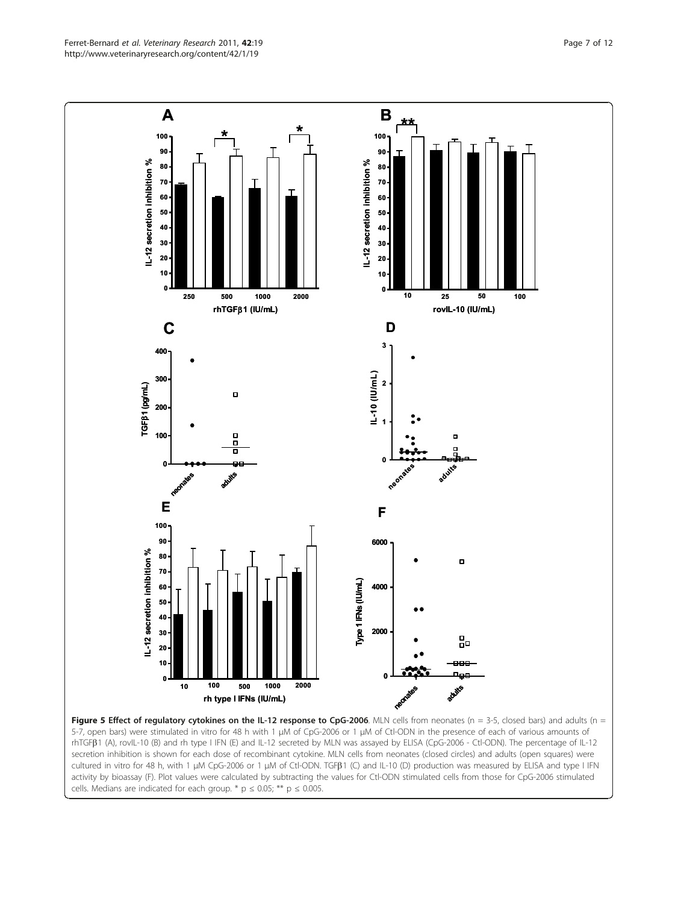5-7, open bars) were stimulated in vitro for 48 h with 1 μM of CpG-2006 or 1 μM of Ctl-ODN in the presence of each of various amounts of rhTGFb1 (A), rovIL-10 (B) and rh type I IFN (E) and IL-12 secreted by MLN was assayed by ELISA (CpG-2006 - Ctl-ODN). The percentage of IL-12 secretion inhibition is shown for each dose of recombinant cytokine. MLN cells from neonates (closed circles) and adults (open squares) were cultured in vitro for 48 h, with 1 <sup>μ</sup>M CpG-2006 or 1 <sup>μ</sup>M of Ctl-ODN. TGFb1 (C) and IL-10 (D) production was measured by ELISA and type I IFN activity by bioassay (F). Plot values were calculated by subtracting the values for Ctl-ODN stimulated cells from those for CpG-2006 stimulated cells. Medians are indicated for each group. \*  $p \le 0.05$ ; \*\*  $p \le 0.005$ .

<span id="page-6-0"></span>http://www.veterinaryresearch.org/content/42/1/19

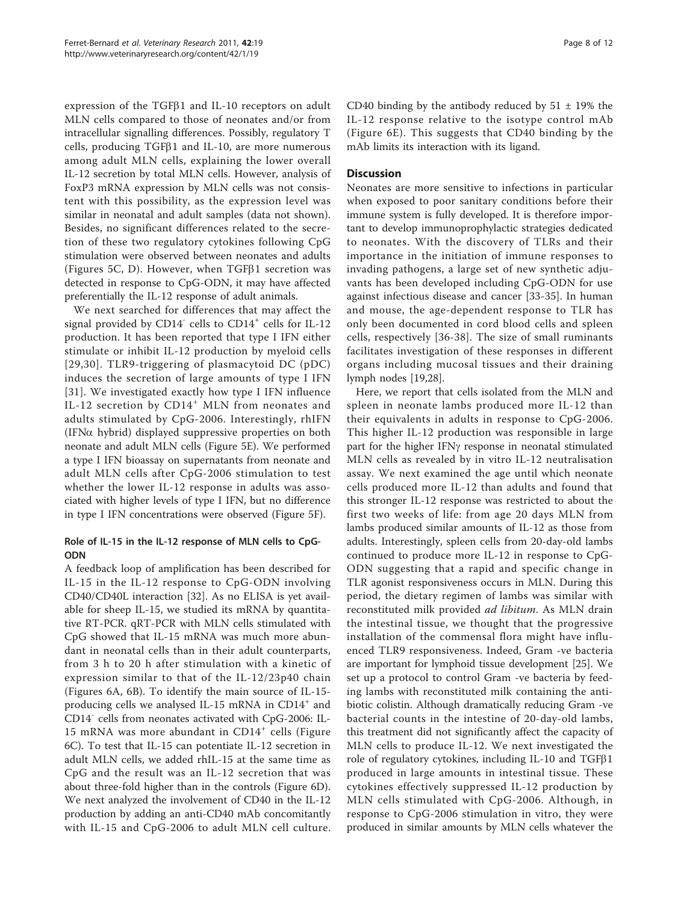expression of the TGF $\beta$ 1 and IL-10 receptors on adult MLN cells compared to those of neonates and/or from intracellular signalling differences. Possibly, regulatory T cells, producing  $TGF\beta1$  and IL-10, are more numerous among adult MLN cells, explaining the lower overall IL-12 secretion by total MLN cells. However, analysis of FoxP3 mRNA expression by MLN cells was not consistent with this possibility, as the expression level was similar in neonatal and adult samples (data not shown). Besides, no significant differences related to the secretion of these two regulatory cytokines following CpG stimulation were observed between neonates and adults (Figures [5C, D\)](#page-6-0). However, when  $TGF\beta1$  secretion was detected in response to CpG-ODN, it may have affected preferentially the IL-12 response of adult animals.

We next searched for differences that may affect the signal provided by CD14 $\degree$  cells to CD14 $\degree$  cells for IL-12 production. It has been reported that type I IFN either stimulate or inhibit IL-12 production by myeloid cells [[29,30](#page-10-0)]. TLR9-triggering of plasmacytoid DC (pDC) induces the secretion of large amounts of type I IFN [[31](#page-10-0)]. We investigated exactly how type I IFN influence IL-12 secretion by CD14<sup>+</sup> MLN from neonates and adults stimulated by CpG-2006. Interestingly, rhIFN  $(IFN\alpha$  hybrid) displayed suppressive properties on both neonate and adult MLN cells (Figure [5E](#page-6-0)). We performed a type I IFN bioassay on supernatants from neonate and adult MLN cells after CpG-2006 stimulation to test whether the lower IL-12 response in adults was associated with higher levels of type I IFN, but no difference in type I IFN concentrations were observed (Figure [5F\)](#page-6-0).

#### Role of IL-15 in the IL-12 response of MLN cells to CpG-ODN

A feedback loop of amplification has been described for IL-15 in the IL-12 response to CpG-ODN involving CD40/CD40L interaction [\[32](#page-10-0)]. As no ELISA is yet available for sheep IL-15, we studied its mRNA by quantitative RT-PCR. qRT-PCR with MLN cells stimulated with CpG showed that IL-15 mRNA was much more abundant in neonatal cells than in their adult counterparts, from 3 h to 20 h after stimulation with a kinetic of expression similar to that of the IL-12/23p40 chain (Figures [6A, 6B](#page-8-0)). To identify the main source of IL-15 producing cells we analysed IL-15 mRNA in CD14 $^+$  and CD14- cells from neonates activated with CpG-2006: IL-15 mRNA was more abundant in CD14<sup>+</sup> cells (Figure [6C](#page-8-0)). To test that IL-15 can potentiate IL-12 secretion in adult MLN cells, we added rhIL-15 at the same time as CpG and the result was an IL-12 secretion that was about three-fold higher than in the controls (Figure [6D](#page-8-0)). We next analyzed the involvement of CD40 in the IL-12 production by adding an anti-CD40 mAb concomitantly with IL-15 and CpG-2006 to adult MLN cell culture.

CD40 binding by the antibody reduced by  $51 \pm 19\%$  the IL-12 response relative to the isotype control mAb (Figure [6E\)](#page-8-0). This suggests that CD40 binding by the mAb limits its interaction with its ligand.

#### **Discussion**

Neonates are more sensitive to infections in particular when exposed to poor sanitary conditions before their immune system is fully developed. It is therefore important to develop immunoprophylactic strategies dedicated to neonates. With the discovery of TLRs and their importance in the initiation of immune responses to invading pathogens, a large set of new synthetic adjuvants has been developed including CpG-ODN for use against infectious disease and cancer [\[33](#page-10-0)-[35\]](#page-10-0). In human and mouse, the age-dependent response to TLR has only been documented in cord blood cells and spleen cells, respectively [\[36-38](#page-10-0)]. The size of small ruminants facilitates investigation of these responses in different organs including mucosal tissues and their draining lymph nodes [[19](#page-10-0),[28](#page-10-0)].

Here, we report that cells isolated from the MLN and spleen in neonate lambs produced more IL-12 than their equivalents in adults in response to CpG-2006. This higher IL-12 production was responsible in large part for the higher IFN<sub>Y</sub> response in neonatal stimulated MLN cells as revealed by in vitro IL-12 neutralisation assay. We next examined the age until which neonate cells produced more IL-12 than adults and found that this stronger IL-12 response was restricted to about the first two weeks of life: from age 20 days MLN from lambs produced similar amounts of IL-12 as those from adults. Interestingly, spleen cells from 20-day-old lambs continued to produce more IL-12 in response to CpG-ODN suggesting that a rapid and specific change in TLR agonist responsiveness occurs in MLN. During this period, the dietary regimen of lambs was similar with reconstituted milk provided ad libitum. As MLN drain the intestinal tissue, we thought that the progressive installation of the commensal flora might have influenced TLR9 responsiveness. Indeed, Gram -ve bacteria are important for lymphoid tissue development [[25\]](#page-10-0). We set up a protocol to control Gram -ve bacteria by feeding lambs with reconstituted milk containing the antibiotic colistin. Although dramatically reducing Gram -ve bacterial counts in the intestine of 20-day-old lambs, this treatment did not significantly affect the capacity of MLN cells to produce IL-12. We next investigated the role of regulatory cytokines, including IL-10 and  $TGF\beta1$ produced in large amounts in intestinal tissue. These cytokines effectively suppressed IL-12 production by MLN cells stimulated with CpG-2006. Although, in response to CpG-2006 stimulation in vitro, they were produced in similar amounts by MLN cells whatever the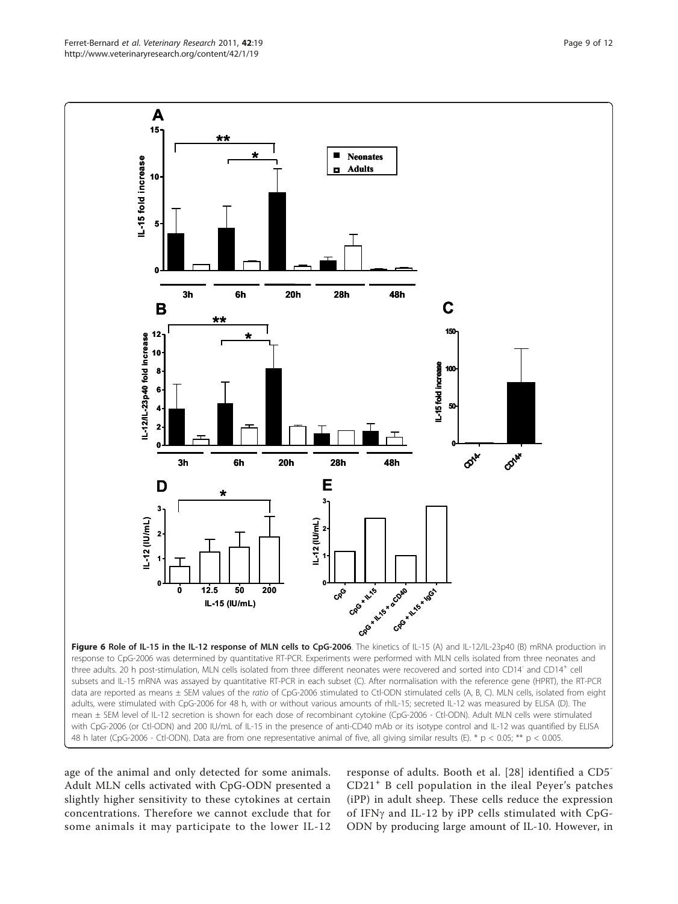age of the animal and only detected for some animals. Adult MLN cells activated with CpG-ODN presented a slightly higher sensitivity to these cytokines at certain concentrations. Therefore we cannot exclude that for some animals it may participate to the lower IL-12 response of adults. Booth et al. [[28](#page-10-0)] identified a CD5- CD21<sup>+</sup> B cell population in the ileal Peyer's patches (iPP) in adult sheep. These cells reduce the expression of IFNg and IL-12 by iPP cells stimulated with CpG-ODN by producing large amount of IL-10. However, in

<span id="page-8-0"></span>

**A**

**\*\***

**15**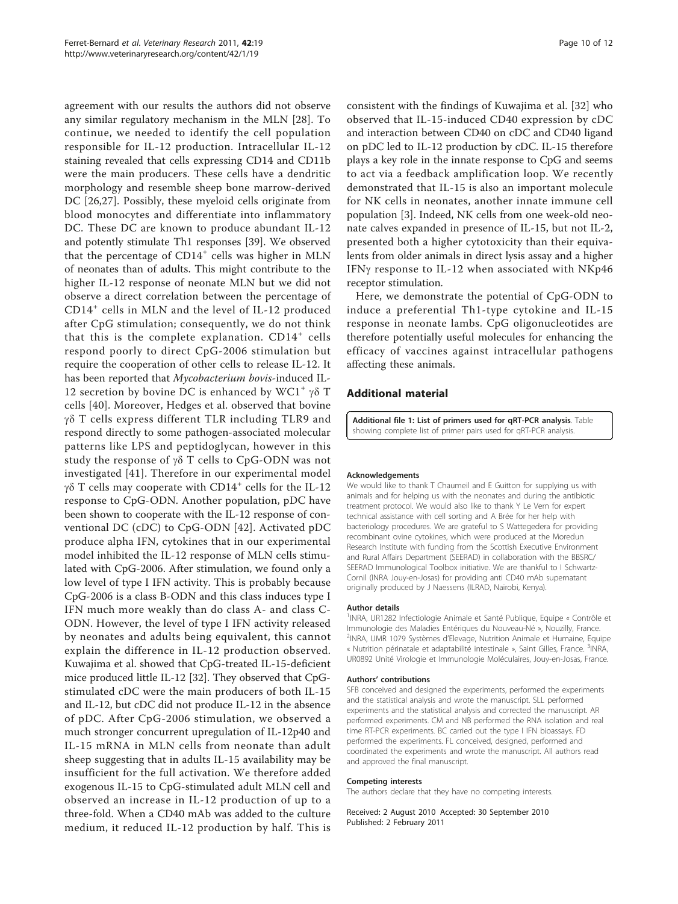<span id="page-9-0"></span>agreement with our results the authors did not observe any similar regulatory mechanism in the MLN [[28\]](#page-10-0). To continue, we needed to identify the cell population responsible for IL-12 production. Intracellular IL-12 staining revealed that cells expressing CD14 and CD11b were the main producers. These cells have a dendritic morphology and resemble sheep bone marrow-derived DC [\[26](#page-10-0),[27](#page-10-0)]. Possibly, these myeloid cells originate from blood monocytes and differentiate into inflammatory DC. These DC are known to produce abundant IL-12 and potently stimulate Th1 responses [\[39](#page-10-0)]. We observed that the percentage of  $CD14<sup>+</sup>$  cells was higher in MLN of neonates than of adults. This might contribute to the higher IL-12 response of neonate MLN but we did not observe a direct correlation between the percentage of CD14<sup>+</sup> cells in MLN and the level of IL-12 produced after CpG stimulation; consequently, we do not think that this is the complete explanation.  $CD14<sup>+</sup>$  cells respond poorly to direct CpG-2006 stimulation but require the cooperation of other cells to release IL-12. It has been reported that Mycobacterium bovis-induced IL-12 secretion by bovine DC is enhanced by WC1<sup>+</sup>  $\gamma\delta$  T cells [\[40](#page-10-0)]. Moreover, Hedges et al. observed that bovine  $\gamma\delta$  T cells express different TLR including TLR9 and respond directly to some pathogen-associated molecular patterns like LPS and peptidoglycan, however in this study the response of  $\gamma\delta$  T cells to CpG-ODN was not investigated [\[41\]](#page-10-0). Therefore in our experimental model  $γδ$  T cells may cooperate with CD14<sup>+</sup> cells for the IL-12 response to CpG-ODN. Another population, pDC have been shown to cooperate with the IL-12 response of conventional DC (cDC) to CpG-ODN [[42](#page-11-0)]. Activated pDC produce alpha IFN, cytokines that in our experimental model inhibited the IL-12 response of MLN cells stimulated with CpG-2006. After stimulation, we found only a low level of type I IFN activity. This is probably because CpG-2006 is a class B-ODN and this class induces type I IFN much more weakly than do class A- and class C-ODN. However, the level of type I IFN activity released by neonates and adults being equivalent, this cannot explain the difference in IL-12 production observed. Kuwajima et al. showed that CpG-treated IL-15-deficient mice produced little IL-12 [\[32\]](#page-10-0). They observed that CpGstimulated cDC were the main producers of both IL-15 and IL-12, but cDC did not produce IL-12 in the absence of pDC. After CpG-2006 stimulation, we observed a much stronger concurrent upregulation of IL-12p40 and IL-15 mRNA in MLN cells from neonate than adult sheep suggesting that in adults IL-15 availability may be insufficient for the full activation. We therefore added exogenous IL-15 to CpG-stimulated adult MLN cell and observed an increase in IL-12 production of up to a three-fold. When a CD40 mAb was added to the culture medium, it reduced IL-12 production by half. This is

consistent with the findings of Kuwajima et al. [[32](#page-10-0)] who observed that IL-15-induced CD40 expression by cDC and interaction between CD40 on cDC and CD40 ligand on pDC led to IL-12 production by cDC. IL-15 therefore plays a key role in the innate response to CpG and seems to act via a feedback amplification loop. We recently demonstrated that IL-15 is also an important molecule for NK cells in neonates, another innate immune cell population [\[3](#page-10-0)]. Indeed, NK cells from one week-old neonate calves expanded in presence of IL-15, but not IL-2, presented both a higher cytotoxicity than their equivalents from older animals in direct lysis assay and a higher IFNg response to IL-12 when associated with NKp46 receptor stimulation.

Here, we demonstrate the potential of CpG-ODN to induce a preferential Th1-type cytokine and IL-15 response in neonate lambs. CpG oligonucleotides are therefore potentially useful molecules for enhancing the efficacy of vaccines against intracellular pathogens affecting these animals.

#### Additional material

[Additional file 1: L](http://www.biomedcentral.com/content/supplementary/1297-9716-42-19-S1.DOC)ist of primers used for qRT-PCR analysis. Table showing complete list of primer pairs used for qRT-PCR analysis.

#### Acknowledgements

We would like to thank T Chaumeil and E Guitton for supplying us with animals and for helping us with the neonates and during the antibiotic treatment protocol. We would also like to thank Y Le Vern for expert technical assistance with cell sorting and A Brée for her help with bacteriology procedures. We are grateful to S Wattegedera for providing recombinant ovine cytokines, which were produced at the Moredun Research Institute with funding from the Scottish Executive Environment and Rural Affairs Department (SEERAD) in collaboration with the BBSRC/ SEERAD Immunological Toolbox initiative. We are thankful to I Schwartz-Cornil (INRA Jouy-en-Josas) for providing anti CD40 mAb supernatant originally produced by J Naessens (ILRAD, Nairobi, Kenya).

#### Author details

<sup>1</sup>INRA, UR1282 Infectiologie Animale et Santé Publique, Equipe « Contrôle et Immunologie des Maladies Entériques du Nouveau-Né », Nouzilly, France. 2 INRA, UMR 1079 Systèmes d'Elevage, Nutrition Animale et Humaine, Equipe « Nutrition périnatale et adaptabilité intestinale », Saint Gilles, France. <sup>3</sup>INRA, UR0892 Unité Virologie et Immunologie Moléculaires, Jouy-en-Josas, France.

#### Authors' contributions

SFB conceived and designed the experiments, performed the experiments and the statistical analysis and wrote the manuscript. SLL performed experiments and the statistical analysis and corrected the manuscript. AR performed experiments. CM and NB performed the RNA isolation and real time RT-PCR experiments. BC carried out the type I IFN bioassays. FD performed the experiments. FL conceived, designed, performed and coordinated the experiments and wrote the manuscript. All authors read and approved the final manuscript.

#### Competing interests

The authors declare that they have no competing interests.

Received: 2 August 2010 Accepted: 30 September 2010 Published: 2 February 2011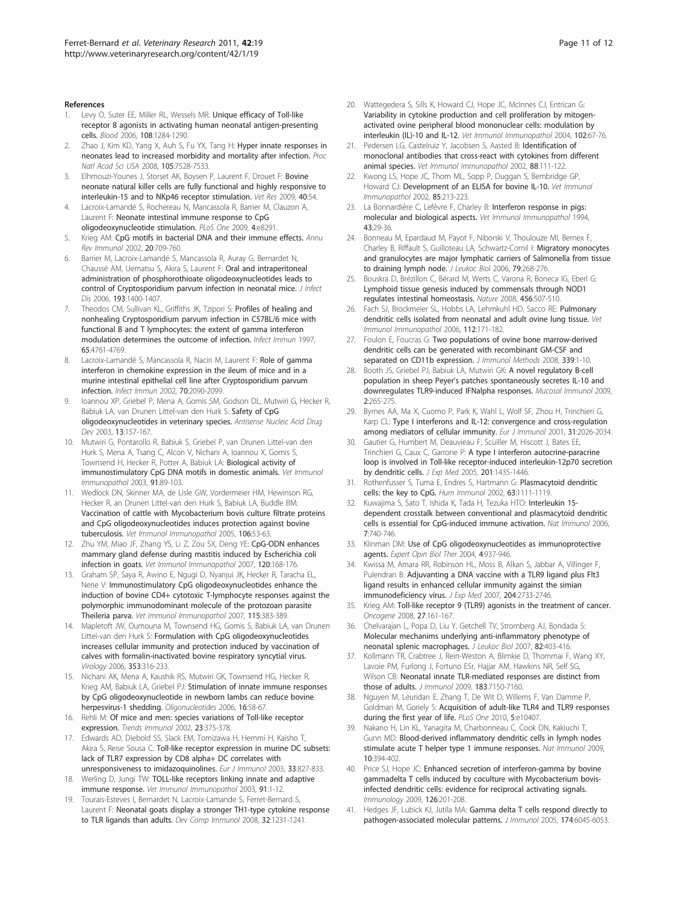#### <span id="page-10-0"></span>References

- 1. Levy O, Suter EE, Miller RL, Wessels MR: [Unique efficacy of Toll-like](http://www.ncbi.nlm.nih.gov/pubmed/16638933?dopt=Abstract) [receptor 8 agonists in activating human neonatal antigen-presenting](http://www.ncbi.nlm.nih.gov/pubmed/16638933?dopt=Abstract) [cells.](http://www.ncbi.nlm.nih.gov/pubmed/16638933?dopt=Abstract) Blood 2006, 108:1284-1290.
- 2. Zhao J, Kim KD, Yang X, Auh S, Fu YX, Tang H: [Hyper innate responses in](http://www.ncbi.nlm.nih.gov/pubmed/18490660?dopt=Abstract) [neonates lead to increased morbidity and mortality after infection.](http://www.ncbi.nlm.nih.gov/pubmed/18490660?dopt=Abstract) Proc Natl Acad Sci USA 2008, 105:7528-7533.
- 3. Elhmouzi-Younes J, Storset AK, Boysen P, Laurent F, Drouet F: [Bovine](http://www.ncbi.nlm.nih.gov/pubmed/19549488?dopt=Abstract) [neonate natural killer cells are fully functional and highly responsive to](http://www.ncbi.nlm.nih.gov/pubmed/19549488?dopt=Abstract) [interleukin-15 and to NKp46 receptor stimulation.](http://www.ncbi.nlm.nih.gov/pubmed/19549488?dopt=Abstract) Vet Res 2009, 40:54.
- 4. Lacroix-Lamandé S, Rochereau N, Mancassola R, Barrier M, Clauzon A, Laurent F: [Neonate intestinal immune response to CpG](http://www.ncbi.nlm.nih.gov/pubmed/20011519?dopt=Abstract) [oligodeoxynucleotide stimulation.](http://www.ncbi.nlm.nih.gov/pubmed/20011519?dopt=Abstract) PLoS One 2009, 4:e8291.
- Krieg AM: [CpG motifs in bacterial DNA and their immune effects.](http://www.ncbi.nlm.nih.gov/pubmed/11861616?dopt=Abstract) Annu Rev Immunol 2002, 20:709-760.
- 6. Barrier M, Lacroix-Lamandé S, Mancassola R, Auray G, Bernardet N, Chaussé AM, Uematsu S, Akira S, Laurent F: [Oral and intraperitoneal](http://www.ncbi.nlm.nih.gov/pubmed/16619188?dopt=Abstract) [administration of phosphorothioate oligodeoxynucleotides leads to](http://www.ncbi.nlm.nih.gov/pubmed/16619188?dopt=Abstract) [control of Cryptosporidium parvum infection in neonatal mice.](http://www.ncbi.nlm.nih.gov/pubmed/16619188?dopt=Abstract) J Infect Dis 2006, 193:1400-1407.
- Theodos CM, Sullivan KL, Griffiths JK, Tzipori S: [Profiles of healing and](http://www.ncbi.nlm.nih.gov/pubmed/9353062?dopt=Abstract) [nonhealing Cryptosporidium parvum infection in C57BL/6 mice with](http://www.ncbi.nlm.nih.gov/pubmed/9353062?dopt=Abstract) [functional B and T lymphocytes: the extent of gamma interferon](http://www.ncbi.nlm.nih.gov/pubmed/9353062?dopt=Abstract) [modulation determines the outcome of infection.](http://www.ncbi.nlm.nih.gov/pubmed/9353062?dopt=Abstract) Infect Immun 1997, 65:4761-4769.
- 8. Lacroix-Lamandé S, Mancassola R, Naciri M, Laurent F: [Role of gamma](http://www.ncbi.nlm.nih.gov/pubmed/11895975?dopt=Abstract) [interferon in chemokine expression in the ileum of mice and in a](http://www.ncbi.nlm.nih.gov/pubmed/11895975?dopt=Abstract) [murine intestinal epithelial cell line after Cryptosporidium parvum](http://www.ncbi.nlm.nih.gov/pubmed/11895975?dopt=Abstract) [infection.](http://www.ncbi.nlm.nih.gov/pubmed/11895975?dopt=Abstract) Infect Immun 2002, 70:2090-2099.
- 9. Ioannou XP, Griebel P, Mena A, Gomis SM, Godson DL, Mutwiri G, Hecker R, Babiuk LA, van Drunen Littel-van den Hurk S: [Safety of CpG](http://www.ncbi.nlm.nih.gov/pubmed/12954116?dopt=Abstract) [oligodeoxynucleotides in veterinary species.](http://www.ncbi.nlm.nih.gov/pubmed/12954116?dopt=Abstract) Antisense Nucleic Acid Drug Dev 2003, 13:157-167.
- 10. Mutwiri G, Pontarollo R, Babiuk S, Griebel P, van Drunen Littel-van den Hurk S, Mena A, Tsang C, Alcon V, Nichani A, Ioannou X, Gomis S, Townsend H, Hecker R, Potter A, Babiuk LA: [Biological activity of](http://www.ncbi.nlm.nih.gov/pubmed/12543546?dopt=Abstract) [immunostimulatory CpG DNA motifs in domestic animals.](http://www.ncbi.nlm.nih.gov/pubmed/12543546?dopt=Abstract) Vet Immunol Immunopathol 2003, 91:89-103.
- 11. Wedlock DN, Skinner MA, de Lisle GW, Vordermeier HM, Hewinson RG, Hecker R, an Drunen Littel-van den Hurk S, Babiuk LA, Buddle BM: [Vaccination of cattle with Mycobacterium bovis culture filtrate proteins](http://www.ncbi.nlm.nih.gov/pubmed/15910992?dopt=Abstract) [and CpG oligodeoxynucleotides induces protection against bovine](http://www.ncbi.nlm.nih.gov/pubmed/15910992?dopt=Abstract) [tuberculosis.](http://www.ncbi.nlm.nih.gov/pubmed/15910992?dopt=Abstract) Vet Immunol Immunopathol 2005, 106:53-63.
- 12. Zhu YM, Miao JF, Zhang YS, Li Z, Zou SX, Deng YE: [CpG-ODN enhances](http://www.ncbi.nlm.nih.gov/pubmed/17869348?dopt=Abstract) [mammary gland defense during mastitis induced by Escherichia coli](http://www.ncbi.nlm.nih.gov/pubmed/17869348?dopt=Abstract) [infection in goats.](http://www.ncbi.nlm.nih.gov/pubmed/17869348?dopt=Abstract) Vet Immunol Immunopathol 2007, 120:168-176.
- 13. Graham SP, Saya R, Awino E, Ngugi D, Nyanjui JK, Hecker R, Taracha EL, Nene V: [Immunostimulatory CpG oligodeoxynucleotides enhance the](http://www.ncbi.nlm.nih.gov/pubmed/17197038?dopt=Abstract) [induction of bovine CD4+ cytotoxic T-lymphocyte responses against the](http://www.ncbi.nlm.nih.gov/pubmed/17197038?dopt=Abstract) [polymorphic immunodominant molecule of the protozoan parasite](http://www.ncbi.nlm.nih.gov/pubmed/17197038?dopt=Abstract) [Theileria parva.](http://www.ncbi.nlm.nih.gov/pubmed/17197038?dopt=Abstract) Vet Immunol Immunopathol 2007, 115:383-389.
- 14. Mapletoft JW, Oumouna M, Townsend HG, Gomis S, Babiuk LA, van Drunen Littel-van den Hurk S: [Formulation with CpG oligodeoxynucleotides](http://www.ncbi.nlm.nih.gov/pubmed/16828832?dopt=Abstract) [increases cellular immunity and protection induced by vaccination of](http://www.ncbi.nlm.nih.gov/pubmed/16828832?dopt=Abstract) [calves with formalin-inactivated bovine respiratory syncytial virus.](http://www.ncbi.nlm.nih.gov/pubmed/16828832?dopt=Abstract) Virology 2006, 353:316-233.
- 15. Nichani AK, Mena A, Kaushik RS, Mutwiri GK, Townsend HG, Hecker R, Krieg AM, Babiuk LA, Griebel PJ: [Stimulation of innate immune responses](http://www.ncbi.nlm.nih.gov/pubmed/16584295?dopt=Abstract) [by CpG oligodeoxynucleotide in newborn lambs can reduce bovine](http://www.ncbi.nlm.nih.gov/pubmed/16584295?dopt=Abstract) [herpesvirus-1 shedding.](http://www.ncbi.nlm.nih.gov/pubmed/16584295?dopt=Abstract) Oligonucleotides 2006, 16:58-67.
- 16. Rehli M: [Of mice and men: species variations of Toll-like receptor](http://www.ncbi.nlm.nih.gov/pubmed/12133792?dopt=Abstract) [expression.](http://www.ncbi.nlm.nih.gov/pubmed/12133792?dopt=Abstract) Trends Immunol 2002, 23:375-378.
- 17. Edwards AD, Diebold SS, Slack EM, Tomizawa H, Hemmi H, Kaisho T, Akira S, Reise Sousa C: [Toll-like receptor expression in murine DC subsets:](http://www.ncbi.nlm.nih.gov/pubmed/12672047?dopt=Abstract) [lack of TLR7 expression by CD8 alpha+ DC correlates with](http://www.ncbi.nlm.nih.gov/pubmed/12672047?dopt=Abstract) [unresponsiveness to imidazoquinolines.](http://www.ncbi.nlm.nih.gov/pubmed/12672047?dopt=Abstract) Eur J Immunol 2003, 33:827-833.
- 18. Werling D, Jungi TW: [TOLL-like receptors linking innate and adaptive](http://www.ncbi.nlm.nih.gov/pubmed/12507844?dopt=Abstract) [immune response.](http://www.ncbi.nlm.nih.gov/pubmed/12507844?dopt=Abstract) Vet Immunol Immunopathol 2003, 91:1-12.
- 19. Tourais-Esteves I, Bernardet N, Lacroix-Lamande S, Ferret-Bernard S, Laurent F: [Neonatal goats display a stronger TH1-type cytokine response](http://www.ncbi.nlm.nih.gov/pubmed/18514862?dopt=Abstract) [to TLR ligands than adults.](http://www.ncbi.nlm.nih.gov/pubmed/18514862?dopt=Abstract) Dev Comp Immunol 2008, 32:1231-1241.
- 20. Wattegedera S, Sills K, Howard CJ, Hope JC, McInnes CJ, Entrican G: [Variability in cytokine production and cell proliferation by mitogen](http://www.ncbi.nlm.nih.gov/pubmed/15451616?dopt=Abstract)[activated ovine peripheral blood mononuclear cells: modulation by](http://www.ncbi.nlm.nih.gov/pubmed/15451616?dopt=Abstract) [interleukin \(IL\)-10 and IL-12.](http://www.ncbi.nlm.nih.gov/pubmed/15451616?dopt=Abstract) Vet Immunol Immunopathol 2004, 102:67-76.
- 21. Pedersen LG, Castelruiz Y, Jacobsen S, Aasted B: [Identification of](http://www.ncbi.nlm.nih.gov/pubmed/12127410?dopt=Abstract) [monoclonal antibodies that cross-react with cytokines from different](http://www.ncbi.nlm.nih.gov/pubmed/12127410?dopt=Abstract) [animal species.](http://www.ncbi.nlm.nih.gov/pubmed/12127410?dopt=Abstract) Vet Immunol Immunopathol 2002, 88:111-122.
- 22. Kwong LS, Hope JC, Thom ML, Sopp P, Duggan S, Bembridge GP, Howard CJ: [Development of an ELISA for bovine IL-10.](http://www.ncbi.nlm.nih.gov/pubmed/11943322?dopt=Abstract) Vet Immunol Immunopathol 2002, 85:213-223.
- 23. La Bonnardière C, Lefèvre F, Charley B: [Interferon response in pigs:](http://www.ncbi.nlm.nih.gov/pubmed/7856060?dopt=Abstract) [molecular and biological aspects.](http://www.ncbi.nlm.nih.gov/pubmed/7856060?dopt=Abstract) Vet Immunol Immunopathol 1994, 43:29-36.
- 24. Bonneau M, Epardaud M, Payot F, Niborski V, Thoulouze MI, Bernex F, Charley B, Riffault S, Guilloteau LA, Schwartz-Cornil I: [Migratory monocytes](http://www.ncbi.nlm.nih.gov/pubmed/16330534?dopt=Abstract) [and granulocytes are major lymphatic carriers of Salmonella from tissue](http://www.ncbi.nlm.nih.gov/pubmed/16330534?dopt=Abstract) [to draining lymph node.](http://www.ncbi.nlm.nih.gov/pubmed/16330534?dopt=Abstract) J Leukoc Biol 2006, 79:268-276.
- 25. Bouskra D, Brézillon C, Bérard M, Werts C, Varona R, Boneca IG, Eberl G: [Lymphoid tissue genesis induced by commensals through NOD1](http://www.ncbi.nlm.nih.gov/pubmed/18987631?dopt=Abstract) [regulates intestinal homeostasis.](http://www.ncbi.nlm.nih.gov/pubmed/18987631?dopt=Abstract) Nature 2008, 456:507-510.
- 26. Fach SJ, Brockmeier SL, Hobbs LA, Lehmkuhl HD, Sacco RE: [Pulmonary](http://www.ncbi.nlm.nih.gov/pubmed/16621027?dopt=Abstract) [dendritic cells isolated from neonatal and adult ovine lung tissue.](http://www.ncbi.nlm.nih.gov/pubmed/16621027?dopt=Abstract) Vet Immunol Immunopathol 2006, 112:171-182.
- 27. Foulon E, Foucras G: [Two populations of ovine bone marrow-derived](http://www.ncbi.nlm.nih.gov/pubmed/18718839?dopt=Abstract) [dendritic cells can be generated with recombinant GM-CSF and](http://www.ncbi.nlm.nih.gov/pubmed/18718839?dopt=Abstract) [separated on CD11b expression.](http://www.ncbi.nlm.nih.gov/pubmed/18718839?dopt=Abstract) J Immunol Methods 2008, 339:1-10.
- 28. Booth JS, Griebel PJ, Babiuk LA, Mutwiri GK: [A novel regulatory B-cell](http://www.ncbi.nlm.nih.gov/pubmed/19262501?dopt=Abstract) population in sheep Peyer'[s patches spontaneously secretes IL-10 and](http://www.ncbi.nlm.nih.gov/pubmed/19262501?dopt=Abstract) [downregulates TLR9-induced IFNalpha responses.](http://www.ncbi.nlm.nih.gov/pubmed/19262501?dopt=Abstract) Mucosal Immunol 2009, 2:265-275.
- 29. Byrnes AA, Ma X, Cuomo P, Park K, Wahl L, Wolf SF, Zhou H, Trinchieri G, Karp CL: [Type I interferons and IL-12: convergence and cross-regulation](http://www.ncbi.nlm.nih.gov/pubmed/11449355?dopt=Abstract) [among mediators of cellular immunity.](http://www.ncbi.nlm.nih.gov/pubmed/11449355?dopt=Abstract) Eur J Immunol 2001, 31:2026-2034.
- 30. Gautier G, Humbert M, Deauvieau F, Scuiller M, Hiscott J, Bates EE, Trinchieri G, Caux C, Garrone P: [A type I interferon autocrine-paracrine](http://www.ncbi.nlm.nih.gov/pubmed/15851485?dopt=Abstract) [loop is involved in Toll-like receptor-induced interleukin-12p70 secretion](http://www.ncbi.nlm.nih.gov/pubmed/15851485?dopt=Abstract) [by dendritic cells.](http://www.ncbi.nlm.nih.gov/pubmed/15851485?dopt=Abstract) J Exp Med 2005, 201:1435-1446.
- 31. Rothenfusser S, Tuma E, Endres S, Hartmann G: [Plasmacytoid dendritic](http://www.ncbi.nlm.nih.gov/pubmed/12480254?dopt=Abstract) [cells: the key to CpG.](http://www.ncbi.nlm.nih.gov/pubmed/12480254?dopt=Abstract) Hum Immunol 2002, 63:1111-1119.
- 32. Kuwajima S, Sato T, Ishida K, Tada H, Tezuka HTO: [Interleukin 15](http://www.ncbi.nlm.nih.gov/pubmed/16715101?dopt=Abstract) [dependent crosstalk between conventional and plasmacytoid dendritic](http://www.ncbi.nlm.nih.gov/pubmed/16715101?dopt=Abstract) [cells is essential for CpG-induced immune activation.](http://www.ncbi.nlm.nih.gov/pubmed/16715101?dopt=Abstract) Nat Immunol 2006, 7:740-746.
- 33. Klinman DM: [Use of CpG oligodeoxynucleotides as immunoprotective](http://www.ncbi.nlm.nih.gov/pubmed/15174975?dopt=Abstract) [agents.](http://www.ncbi.nlm.nih.gov/pubmed/15174975?dopt=Abstract) Expert Opin Biol Ther 2004, 4:937-946.
- 34. Kwissa M, Amara RR, Robinson HL, Moss B, Alkan S, Jabbar A, Villinger F, Pulendran B: [Adjuvanting a DNA vaccine with a TLR9 ligand plus Flt3](http://www.ncbi.nlm.nih.gov/pubmed/17954572?dopt=Abstract) [ligand results in enhanced cellular immunity against the simian](http://www.ncbi.nlm.nih.gov/pubmed/17954572?dopt=Abstract) [immunodeficiency virus.](http://www.ncbi.nlm.nih.gov/pubmed/17954572?dopt=Abstract) J Exp Med 2007, 204:2733-2746.
- 35. Krieg AM: [Toll-like receptor 9 \(TLR9\) agonists in the treatment of cancer.](http://www.ncbi.nlm.nih.gov/pubmed/18176597?dopt=Abstract) Oncogene 2008, 27:161-167.
- 36. Chelvarajan L, Popa D, Liu Y, Getchell TV, Stromberg AJ, Bondada S: [Molecular mechanims underlying anti-inflammatory phenotype of](http://www.ncbi.nlm.nih.gov/pubmed/17495050?dopt=Abstract) [neonatal splenic macrophages.](http://www.ncbi.nlm.nih.gov/pubmed/17495050?dopt=Abstract) J Leukoc Biol 2007, 82:403-416.
- 37. Kollmann TR, Crabtree J, Rein-Weston A, Blimkie D, Thommai F, Wang XY, Lavoie PM, Furlong J, Fortuno ESr, Hajjar AM, Hawkins NR, Self SG, Wilson CB: [Neonatal innate TLR-mediated responses are distinct from](http://www.ncbi.nlm.nih.gov/pubmed/19917677?dopt=Abstract) [those of adults.](http://www.ncbi.nlm.nih.gov/pubmed/19917677?dopt=Abstract) J Immunol 2009, 183:7150-7160.
- 38. Nguyen M, Leuridan E, Zhang T, De Wit D, Willems F, Van Damme P, Goldman M, Goriely S: [Acquisition of adult-like TLR4 and TLR9 responses](http://www.ncbi.nlm.nih.gov/pubmed/20442853?dopt=Abstract) [during the first year of life.](http://www.ncbi.nlm.nih.gov/pubmed/20442853?dopt=Abstract) PLoS One 2010, 5:e10407.
- 39. Nakano H, Lin KL, Yanagita M, Charbonneau C, Cook DN, Kakiuchi T, Gunn MD: [Blood-derived inflammatory dendritic cells in lymph nodes](http://www.ncbi.nlm.nih.gov/pubmed/19252492?dopt=Abstract) [stimulate acute T helper type 1 immune responses.](http://www.ncbi.nlm.nih.gov/pubmed/19252492?dopt=Abstract) Nat Immunol 2009, 10:394-402.
- 40. Price SJ, Hope JC: [Enhanced secretion of interferon-gamma by bovine](http://www.ncbi.nlm.nih.gov/pubmed/18657206?dopt=Abstract) [gammadelta T cells induced by coculture with Mycobacterium bovis](http://www.ncbi.nlm.nih.gov/pubmed/18657206?dopt=Abstract)[infected dendritic cells: evidence for reciprocal activating signals.](http://www.ncbi.nlm.nih.gov/pubmed/18657206?dopt=Abstract) Immunology 2009, 126:201-208.
- 41. Hedges JF, Lubick KJ, Jutila MA: Gamma [delta T cells respond directly to](http://www.ncbi.nlm.nih.gov/pubmed/15879098?dopt=Abstract) [pathogen-associated molecular patterns.](http://www.ncbi.nlm.nih.gov/pubmed/15879098?dopt=Abstract) J Immunol 2005, 174:6045-6053.